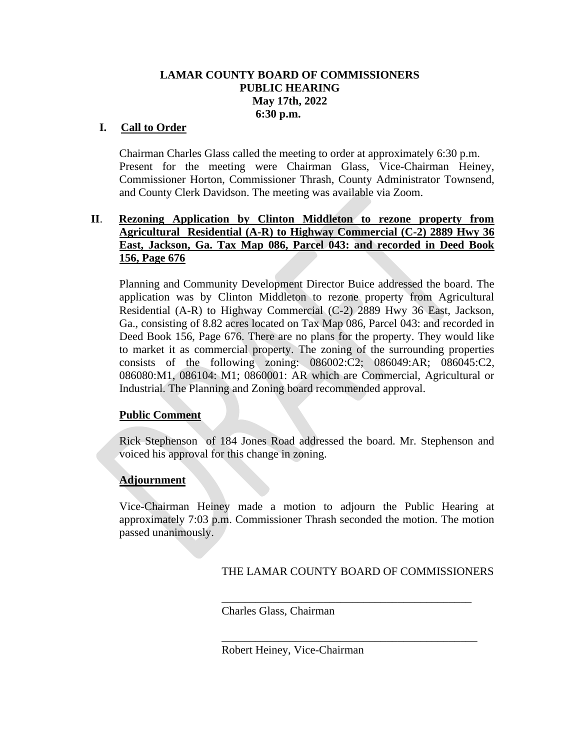# **LAMAR COUNTY BOARD OF COMMISSIONERS PUBLIC HEARING May 17th, 2022 6:30 p.m.**

# **I. Call to Order**

Chairman Charles Glass called the meeting to order at approximately 6:30 p.m. Present for the meeting were Chairman Glass, Vice-Chairman Heiney, Commissioner Horton, Commissioner Thrash, County Administrator Townsend, and County Clerk Davidson. The meeting was available via Zoom.

### **II**. **Rezoning Application by Clinton Middleton to rezone property from Agricultural Residential (A-R) to Highway Commercial (C-2) 2889 Hwy 36 East, Jackson, Ga. Tax Map 086, Parcel 043: and recorded in Deed Book 156, Page 676**

Planning and Community Development Director Buice addressed the board. The application was by Clinton Middleton to rezone property from Agricultural Residential (A-R) to Highway Commercial (C-2) 2889 Hwy 36 East, Jackson, Ga., consisting of 8.82 acres located on Tax Map 086, Parcel 043: and recorded in Deed Book 156, Page 676. There are no plans for the property. They would like to market it as commercial property. The zoning of the surrounding properties consists of the following zoning: 086002:C2; 086049:AR; 086045:C2, 086080:M1, 086104: M1; 0860001: AR which are Commercial, Agricultural or Industrial. The Planning and Zoning board recommended approval.

#### **Public Comment**

 Rick Stephenson of 184 Jones Road addressed the board. Mr. Stephenson and voiced his approval for this change in zoning.

# **Adjournment**

Vice-Chairman Heiney made a motion to adjourn the Public Hearing at approximately 7:03 p.m. Commissioner Thrash seconded the motion. The motion passed unanimously.

# THE LAMAR COUNTY BOARD OF COMMISSIONERS

\_\_\_\_\_\_\_\_\_\_\_\_\_\_\_\_\_\_\_\_\_\_\_\_\_\_\_\_\_\_\_\_\_\_\_\_\_\_\_\_\_\_\_\_

\_\_\_\_\_\_\_\_\_\_\_\_\_\_\_\_\_\_\_\_\_\_\_\_\_\_\_\_\_\_\_\_\_\_\_\_\_\_\_\_\_\_\_\_\_

Charles Glass, Chairman

Robert Heiney, Vice-Chairman